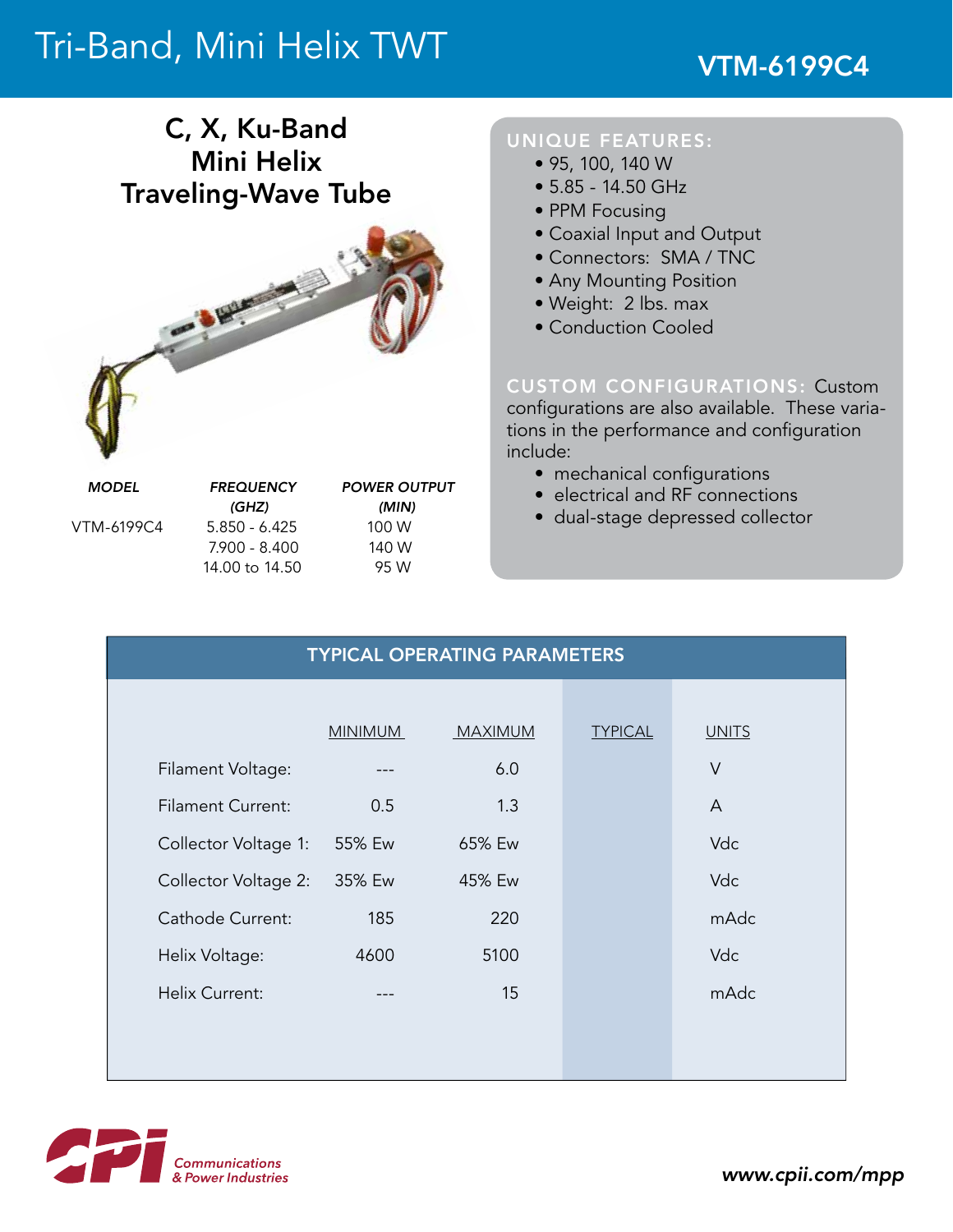# Tri-Band, Mini Helix TWT

## C, X, Ku-Band Mini Helix Traveling-Wave Tube



 *(GHz) (min)* VTM-6199C4 5.850 - 6.425 100 W 7.900 - 8.400 140 W 14.00 to 14.50 95 W

### UNIQUE FEATURES:

- 95, 100, 140 W
- 5.85 14.50 GHz
- PPM Focusing
- Coaxial Input and Output
- Connectors: SMA / TNC
- Any Mounting Position
- Weight: 2 lbs. max
- Conduction Cooled

### CUSTOM CONFIGURATIONS: Custom

configurations are also available. These variations in the performance and configuration include:

- mechanical configurations
- electrical and RF connections
- dual-stage depressed collector

| <b>TYPICAL OPERATING PARAMETERS</b> |                |                |                |              |
|-------------------------------------|----------------|----------------|----------------|--------------|
|                                     |                |                |                |              |
|                                     | <b>MINIMUM</b> | <b>MAXIMUM</b> | <b>TYPICAL</b> | <b>UNITS</b> |
| Filament Voltage:                   |                | 6.0            |                | $\vee$       |
| <b>Filament Current:</b>            | 0.5            | 1.3            |                | A            |
| Collector Voltage 1:                | 55% Ew         | 65% Ew         |                | Vdc          |
| Collector Voltage 2:                | 35% Ew         | 45% Ew         |                | Vdc          |
| Cathode Current:                    | 185            | 220            |                | mAdc         |
| Helix Voltage:                      | 4600           | 5100           |                | Vdc          |
| <b>Helix Current:</b>               | $\frac{1}{2}$  | 15             |                | mAdc         |
|                                     |                |                |                |              |
|                                     |                |                |                |              |



*www.cpii.com/mpp*